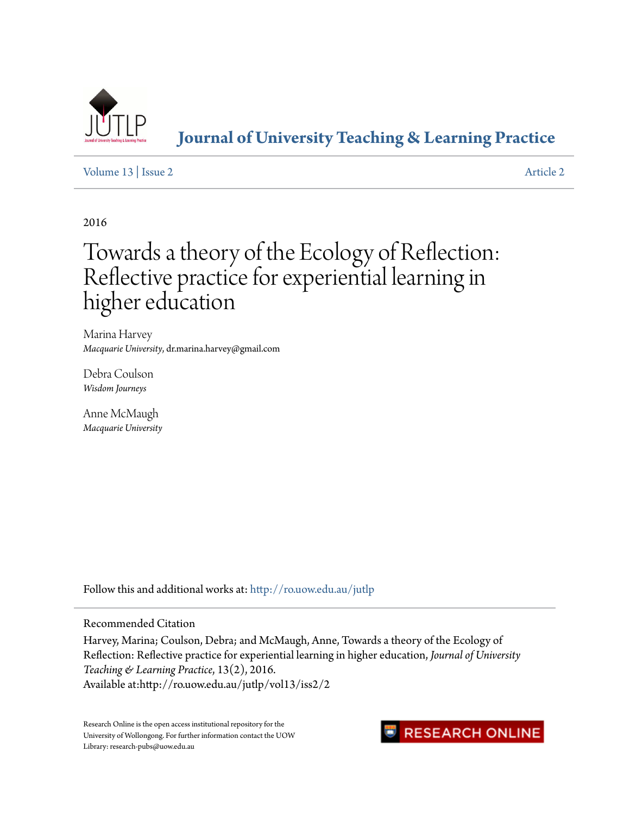

## **[Journal of University Teaching & Learning Practice](http://ro.uow.edu.au/jutlp?utm_source=ro.uow.edu.au%2Fjutlp%2Fvol13%2Fiss2%2F2&utm_medium=PDF&utm_campaign=PDFCoverPages)**

[Volume 13](http://ro.uow.edu.au/jutlp/vol13?utm_source=ro.uow.edu.au%2Fjutlp%2Fvol13%2Fiss2%2F2&utm_medium=PDF&utm_campaign=PDFCoverPages) | [Issue 2](http://ro.uow.edu.au/jutlp/vol13/iss2?utm_source=ro.uow.edu.au%2Fjutlp%2Fvol13%2Fiss2%2F2&utm_medium=PDF&utm_campaign=PDFCoverPages) [Article 2](http://ro.uow.edu.au/jutlp/vol13/iss2/2?utm_source=ro.uow.edu.au%2Fjutlp%2Fvol13%2Fiss2%2F2&utm_medium=PDF&utm_campaign=PDFCoverPages)

2016

# Towards a theory of the Ecology of Reflection: Reflective practice for experiential learning in higher education

Marina Harvey *Macquarie University*, dr.marina.harvey@gmail.com

Debra Coulson *Wisdom Journeys*

Anne McMaugh *Macquarie University*

Follow this and additional works at: [http://ro.uow.edu.au/jutlp](http://ro.uow.edu.au/jutlp?utm_source=ro.uow.edu.au%2Fjutlp%2Fvol13%2Fiss2%2F2&utm_medium=PDF&utm_campaign=PDFCoverPages)

Recommended Citation

Harvey, Marina; Coulson, Debra; and McMaugh, Anne, Towards a theory of the Ecology of Reflection: Reflective practice for experiential learning in higher education, *Journal of University Teaching & Learning Practice*, 13(2), 2016. Available at:http://ro.uow.edu.au/jutlp/vol13/iss2/2

Research Online is the open access institutional repository for the University of Wollongong. For further information contact the UOW Library: research-pubs@uow.edu.au

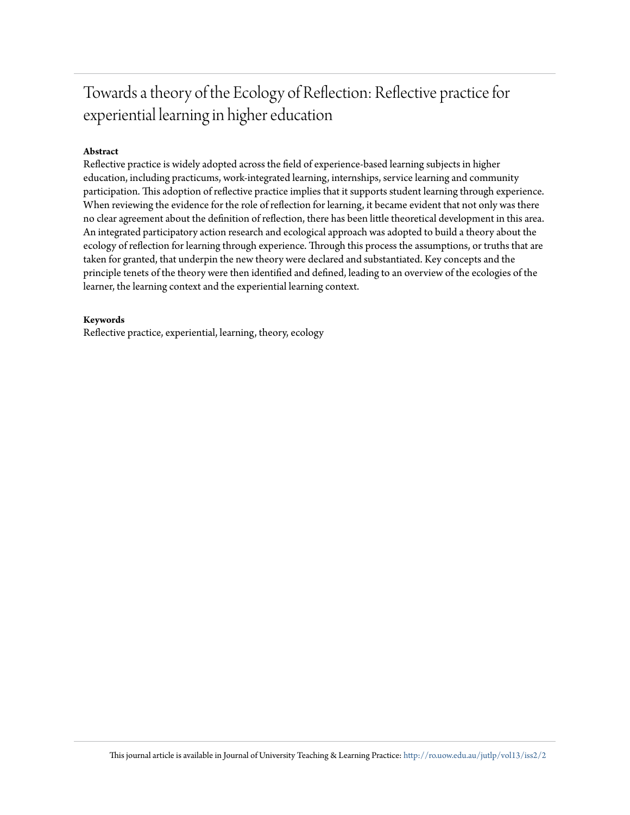## Towards a theory of the Ecology of Reflection: Reflective practice for experiential learning in higher education

## **Abstract**

Reflective practice is widely adopted across the field of experience-based learning subjects in higher education, including practicums, work-integrated learning, internships, service learning and community participation. This adoption of reflective practice implies that it supports student learning through experience. When reviewing the evidence for the role of reflection for learning, it became evident that not only was there no clear agreement about the definition of reflection, there has been little theoretical development in this area. An integrated participatory action research and ecological approach was adopted to build a theory about the ecology of reflection for learning through experience. Through this process the assumptions, or truths that are taken for granted, that underpin the new theory were declared and substantiated. Key concepts and the principle tenets of the theory were then identified and defined, leading to an overview of the ecologies of the learner, the learning context and the experiential learning context.

## **Keywords**

Reflective practice, experiential, learning, theory, ecology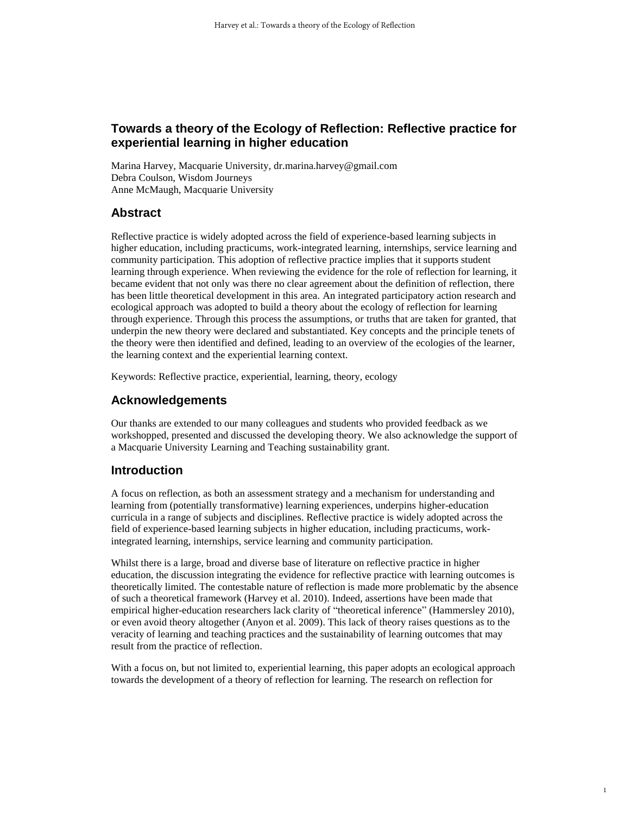## **Towards a theory of the Ecology of Reflection: Reflective practice for experiential learning in higher education**

Marina Harvey, Macquarie University, dr.marina.harvey@gmail.com Debra Coulson, Wisdom Journeys Anne McMaugh, Macquarie University

## **Abstract**

Reflective practice is widely adopted across the field of experience-based learning subjects in higher education, including practicums, work-integrated learning, internships, service learning and community participation. This adoption of reflective practice implies that it supports student learning through experience. When reviewing the evidence for the role of reflection for learning, it became evident that not only was there no clear agreement about the definition of reflection, there has been little theoretical development in this area. An integrated participatory action research and ecological approach was adopted to build a theory about the ecology of reflection for learning through experience. Through this process the assumptions, or truths that are taken for granted, that underpin the new theory were declared and substantiated. Key concepts and the principle tenets of the theory were then identified and defined, leading to an overview of the ecologies of the learner, the learning context and the experiential learning context.

Keywords: Reflective practice, experiential, learning, theory, ecology

## **Acknowledgements**

Our thanks are extended to our many colleagues and students who provided feedback as we workshopped, presented and discussed the developing theory. We also acknowledge the support of a Macquarie University Learning and Teaching sustainability grant.

## **Introduction**

A focus on reflection, as both an assessment strategy and a mechanism for understanding and learning from (potentially transformative) learning experiences, underpins higher-education curricula in a range of subjects and disciplines. Reflective practice is widely adopted across the field of experience-based learning subjects in higher education, including practicums, workintegrated learning, internships, service learning and community participation.

Whilst there is a large, broad and diverse base of literature on reflective practice in higher education, the discussion integrating the evidence for reflective practice with learning outcomes is theoretically limited. The contestable nature of reflection is made more problematic by the absence of such a theoretical framework (Harvey et al. 2010). Indeed, assertions have been made that empirical higher-education researchers lack clarity of "theoretical inference" (Hammersley 2010), or even avoid theory altogether (Anyon et al. 2009). This lack of theory raises questions as to the veracity of learning and teaching practices and the sustainability of learning outcomes that may result from the practice of reflection.

With a focus on, but not limited to, experiential learning, this paper adopts an ecological approach towards the development of a theory of reflection for learning. The research on reflection for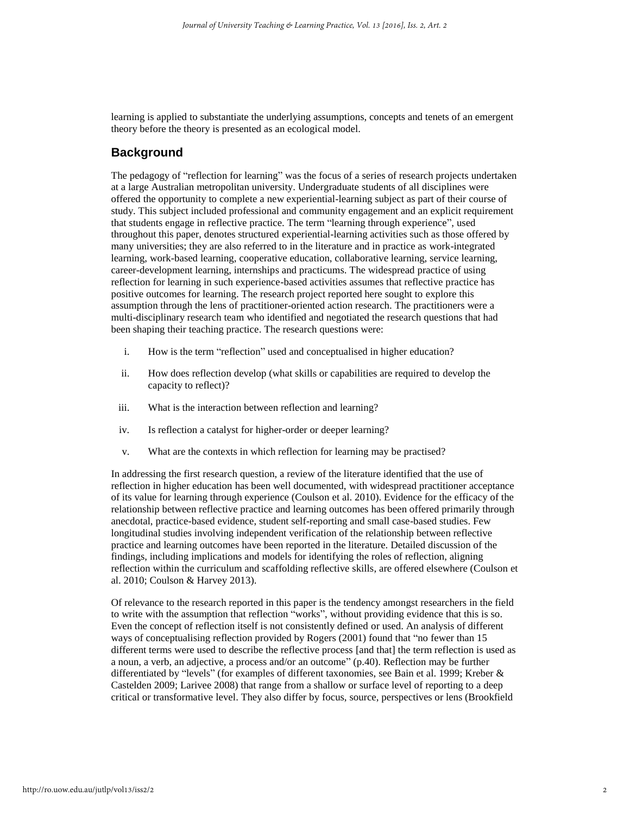learning is applied to substantiate the underlying assumptions, concepts and tenets of an emergent theory before the theory is presented as an ecological model.

## **Background**

The pedagogy of "reflection for learning" was the focus of a series of research projects undertaken at a large Australian metropolitan university. Undergraduate students of all disciplines were offered the opportunity to complete a new experiential-learning subject as part of their course of study. This subject included professional and community engagement and an explicit requirement that students engage in reflective practice. The term "learning through experience", used throughout this paper, denotes structured experiential-learning activities such as those offered by many universities; they are also referred to in the literature and in practice as work-integrated learning, work-based learning, cooperative education, collaborative learning, service learning, career-development learning, internships and practicums. The widespread practice of using reflection for learning in such experience-based activities assumes that reflective practice has positive outcomes for learning. The research project reported here sought to explore this assumption through the lens of practitioner-oriented action research. The practitioners were a multi-disciplinary research team who identified and negotiated the research questions that had been shaping their teaching practice. The research questions were:

- i. How is the term "reflection" used and conceptualised in higher education?
- ii. How does reflection develop (what skills or capabilities are required to develop the capacity to reflect)?
- iii. What is the interaction between reflection and learning?
- iv. Is reflection a catalyst for higher-order or deeper learning?
- v. What are the contexts in which reflection for learning may be practised?

In addressing the first research question, a review of the literature identified that the use of reflection in higher education has been well documented, with widespread practitioner acceptance of its value for learning through experience (Coulson et al. 2010). Evidence for the efficacy of the relationship between reflective practice and learning outcomes has been offered primarily through anecdotal, practice-based evidence, student self-reporting and small case-based studies. Few longitudinal studies involving independent verification of the relationship between reflective practice and learning outcomes have been reported in the literature. Detailed discussion of the findings, including implications and models for identifying the roles of reflection, aligning reflection within the curriculum and scaffolding reflective skills, are offered elsewhere (Coulson et al. 2010; Coulson & Harvey 2013).

Of relevance to the research reported in this paper is the tendency amongst researchers in the field to write with the assumption that reflection "works", without providing evidence that this is so. Even the concept of reflection itself is not consistently defined or used. An analysis of different ways of conceptualising reflection provided by Rogers (2001) found that "no fewer than 15 different terms were used to describe the reflective process [and that] the term reflection is used as a noun, a verb, an adjective, a process and/or an outcome" (p.40). Reflection may be further differentiated by "levels" (for examples of different taxonomies, see Bain et al. 1999; Kreber & Castelden 2009; Larivee 2008) that range from a shallow or surface level of reporting to a deep critical or transformative level. They also differ by focus, source, perspectives or lens (Brookfield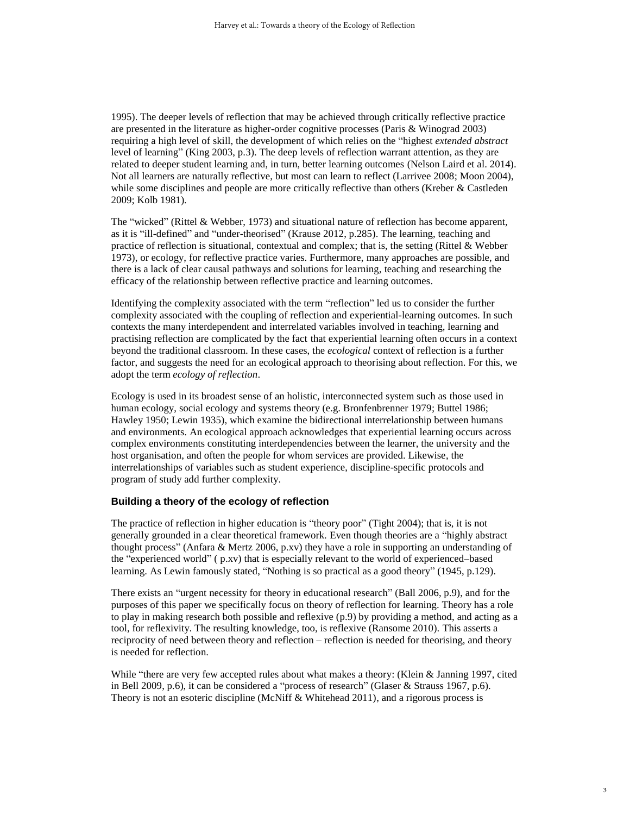1995). The deeper levels of reflection that may be achieved through critically reflective practice are presented in the literature as higher-order cognitive processes (Paris & Winograd 2003) requiring a high level of skill, the development of which relies on the "highest *extended abstract* level of learning" (King 2003, p.3). The deep levels of reflection warrant attention, as they are related to deeper student learning and, in turn, better learning outcomes (Nelson Laird et al. 2014). Not all learners are naturally reflective, but most can learn to reflect (Larrivee 2008; Moon 2004), while some disciplines and people are more critically reflective than others (Kreber & Castleden 2009; Kolb 1981).

The "wicked" (Rittel & Webber, 1973) and situational nature of reflection has become apparent, as it is "ill-defined" and "under-theorised" (Krause 2012, p.285). The learning, teaching and practice of reflection is situational, contextual and complex; that is, the setting (Rittel & Webber 1973), or ecology, for reflective practice varies. Furthermore, many approaches are possible, and there is a lack of clear causal pathways and solutions for learning, teaching and researching the efficacy of the relationship between reflective practice and learning outcomes.

Identifying the complexity associated with the term "reflection" led us to consider the further complexity associated with the coupling of reflection and experiential-learning outcomes. In such contexts the many interdependent and interrelated variables involved in teaching, learning and practising reflection are complicated by the fact that experiential learning often occurs in a context beyond the traditional classroom. In these cases, the *ecological* context of reflection is a further factor, and suggests the need for an ecological approach to theorising about reflection. For this, we adopt the term *ecology of reflection*.

Ecology is used in its broadest sense of an holistic, interconnected system such as those used in human ecology, social ecology and systems theory (e.g. Bronfenbrenner 1979; Buttel 1986; Hawley 1950; Lewin 1935), which examine the bidirectional interrelationship between humans and environments. An ecological approach acknowledges that experiential learning occurs across complex environments constituting interdependencies between the learner, the university and the host organisation, and often the people for whom services are provided. Likewise, the interrelationships of variables such as student experience, discipline-specific protocols and program of study add further complexity.

#### **Building a theory of the ecology of reflection**

The practice of reflection in higher education is "theory poor" (Tight 2004); that is, it is not generally grounded in a clear theoretical framework. Even though theories are a "highly abstract thought process" (Anfara & Mertz 2006, p.xv) they have a role in supporting an understanding of the "experienced world" ( p.xv) that is especially relevant to the world of experienced–based learning. As Lewin famously stated, "Nothing is so practical as a good theory" (1945, p.129).

There exists an "urgent necessity for theory in educational research" (Ball 2006, p.9), and for the purposes of this paper we specifically focus on theory of reflection for learning. Theory has a role to play in making research both possible and reflexive (p.9) by providing a method, and acting as a tool, for reflexivity. The resulting knowledge, too, is reflexive (Ransome 2010). This asserts a reciprocity of need between theory and reflection – reflection is needed for theorising, and theory is needed for reflection.

While "there are very few accepted rules about what makes a theory: (Klein & Janning 1997, cited in Bell 2009, p.6), it can be considered a "process of research" (Glaser & Strauss 1967, p.6). Theory is not an esoteric discipline (McNiff & Whitehead 2011), and a rigorous process is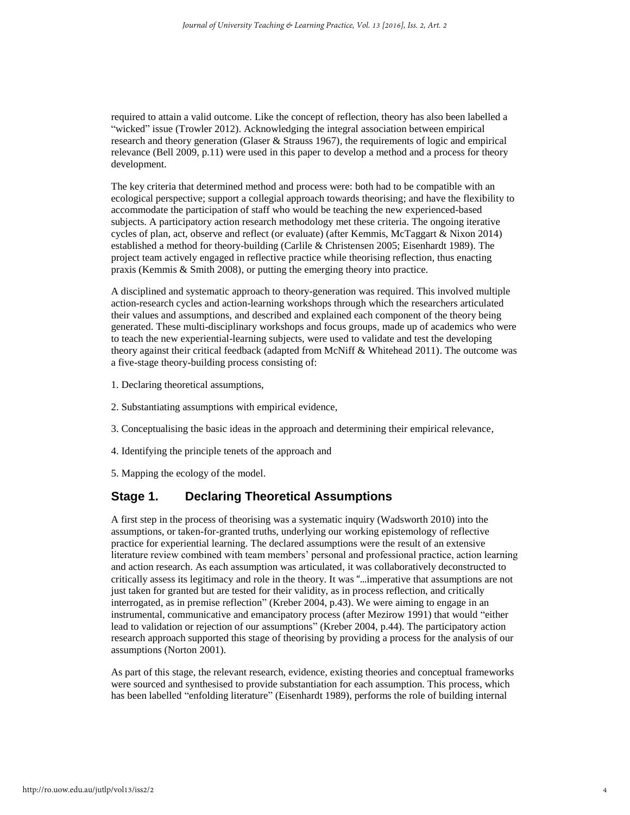required to attain a valid outcome. Like the concept of reflection, theory has also been labelled a "wicked" issue (Trowler 2012). Acknowledging the integral association between empirical research and theory generation (Glaser & Strauss 1967), the requirements of logic and empirical relevance (Bell 2009, p.11) were used in this paper to develop a method and a process for theory development.

The key criteria that determined method and process were: both had to be compatible with an ecological perspective; support a collegial approach towards theorising; and have the flexibility to accommodate the participation of staff who would be teaching the new experienced-based subjects. A participatory action research methodology met these criteria. The ongoing iterative cycles of plan, act, observe and reflect (or evaluate) (after Kemmis, McTaggart & Nixon 2014) established a method for theory-building (Carlile & Christensen 2005; Eisenhardt 1989). The project team actively engaged in reflective practice while theorising reflection, thus enacting praxis (Kemmis & Smith 2008), or putting the emerging theory into practice.

A disciplined and systematic approach to theory-generation was required. This involved multiple action-research cycles and action-learning workshops through which the researchers articulated their values and assumptions, and described and explained each component of the theory being generated. These multi-disciplinary workshops and focus groups, made up of academics who were to teach the new experiential-learning subjects, were used to validate and test the developing theory against their critical feedback (adapted from McNiff & Whitehead 2011). The outcome was a five-stage theory-building process consisting of:

- 1. Declaring theoretical assumptions,
- 2. Substantiating assumptions with empirical evidence,
- 3. Conceptualising the basic ideas in the approach and determining their empirical relevance,
- 4. Identifying the principle tenets of the approach and
- 5. Mapping the ecology of the model.

## **Stage 1. Declaring Theoretical Assumptions**

A first step in the process of theorising was a systematic inquiry (Wadsworth 2010) into the assumptions, or taken-for-granted truths, underlying our working epistemology of reflective practice for experiential learning. The declared assumptions were the result of an extensive literature review combined with team members' personal and professional practice, action learning and action research. As each assumption was articulated, it was collaboratively deconstructed to critically assess its legitimacy and role in the theory. It was "...imperative that assumptions are not just taken for granted but are tested for their validity, as in process reflection, and critically interrogated, as in premise reflection" (Kreber 2004, p.43). We were aiming to engage in an instrumental, communicative and emancipatory process (after Mezirow 1991) that would "either lead to validation or rejection of our assumptions" (Kreber 2004, p.44). The participatory action research approach supported this stage of theorising by providing a process for the analysis of our assumptions (Norton 2001).

As part of this stage, the relevant research, evidence, existing theories and conceptual frameworks were sourced and synthesised to provide substantiation for each assumption. This process, which has been labelled "enfolding literature" (Eisenhardt 1989), performs the role of building internal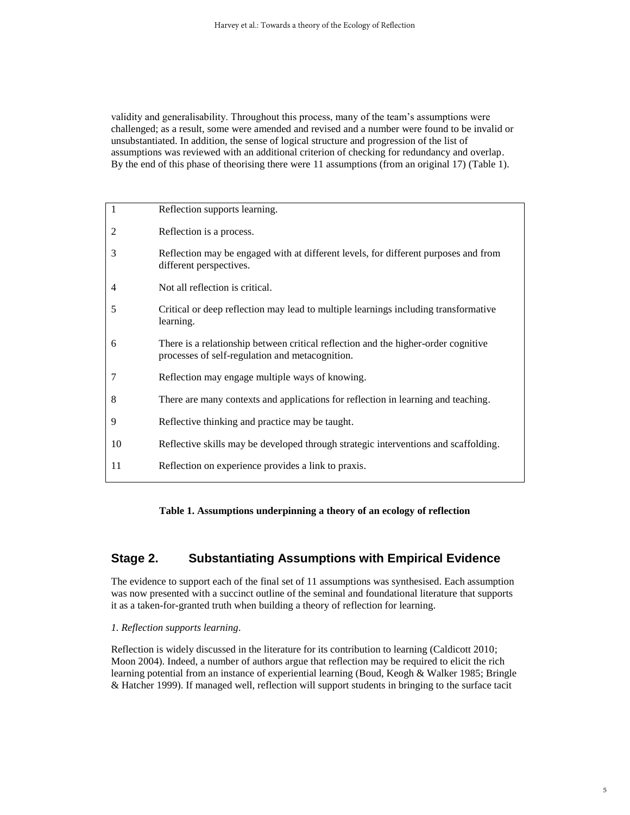validity and generalisability. Throughout this process, many of the team's assumptions were challenged; as a result, some were amended and revised and a number were found to be invalid or unsubstantiated. In addition, the sense of logical structure and progression of the list of assumptions was reviewed with an additional criterion of checking for redundancy and overlap. By the end of this phase of theorising there were 11 assumptions (from an original 17) (Table 1).

| 1              | Reflection supports learning.                                                                                                         |
|----------------|---------------------------------------------------------------------------------------------------------------------------------------|
| 2              | Reflection is a process.                                                                                                              |
| 3              | Reflection may be engaged with at different levels, for different purposes and from<br>different perspectives.                        |
| $\overline{4}$ | Not all reflection is critical.                                                                                                       |
| 5              | Critical or deep reflection may lead to multiple learnings including transformative<br>learning.                                      |
| 6              | There is a relationship between critical reflection and the higher-order cognitive<br>processes of self-regulation and metacognition. |
| 7              | Reflection may engage multiple ways of knowing.                                                                                       |
| 8              | There are many contexts and applications for reflection in learning and teaching.                                                     |
| 9              | Reflective thinking and practice may be taught.                                                                                       |
| 10             | Reflective skills may be developed through strategic interventions and scaffolding.                                                   |
| 11             | Reflection on experience provides a link to praxis.                                                                                   |
|                |                                                                                                                                       |

**Table 1. Assumptions underpinning a theory of an ecology of reflection**

## **Stage 2. Substantiating Assumptions with Empirical Evidence**

The evidence to support each of the final set of 11 assumptions was synthesised. Each assumption was now presented with a succinct outline of the seminal and foundational literature that supports it as a taken-for-granted truth when building a theory of reflection for learning.

#### *1. Reflection supports learning.*

Reflection is widely discussed in the literature for its contribution to learning (Caldicott 2010; Moon 2004). Indeed, a number of authors argue that reflection may be required to elicit the rich learning potential from an instance of experiential learning (Boud, Keogh & Walker 1985; Bringle & Hatcher 1999). If managed well, reflection will support students in bringing to the surface tacit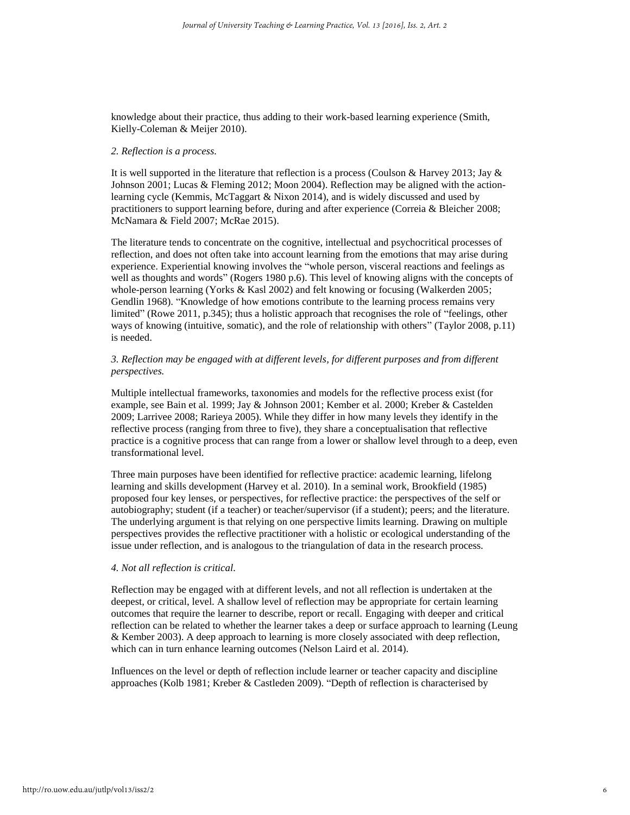knowledge about their practice, thus adding to their work-based learning experience (Smith, Kielly-Coleman & Meijer 2010).

#### *2. Reflection is a process.*

It is well supported in the literature that reflection is a process (Coulson & Harvey 2013; Jay  $\&$ Johnson 2001; Lucas & Fleming 2012; Moon 2004). Reflection may be aligned with the actionlearning cycle (Kemmis, McTaggart & Nixon 2014), and is widely discussed and used by practitioners to support learning before, during and after experience (Correia & Bleicher 2008; McNamara & Field 2007; McRae 2015).

The literature tends to concentrate on the cognitive, intellectual and psychocritical processes of reflection, and does not often take into account learning from the emotions that may arise during experience. Experiential knowing involves the "whole person, visceral reactions and feelings as well as thoughts and words" (Rogers 1980 p.6). This level of knowing aligns with the concepts of whole-person learning (Yorks & Kasl 2002) and felt knowing or focusing (Walkerden 2005; Gendlin 1968). "Knowledge of how emotions contribute to the learning process remains very limited" (Rowe 2011, p.345); thus a holistic approach that recognises the role of "feelings, other ways of knowing (intuitive, somatic), and the role of relationship with others" (Taylor 2008, p.11) is needed.

#### *3. Reflection may be engaged with at different levels, for different purposes and from different perspectives.*

Multiple intellectual frameworks, taxonomies and models for the reflective process exist (for example, see Bain et al. 1999; Jay & Johnson 2001; Kember et al. 2000; Kreber & Castelden 2009; Larrivee 2008; Rarieya 2005). While they differ in how many levels they identify in the reflective process (ranging from three to five), they share a conceptualisation that reflective practice is a cognitive process that can range from a lower or shallow level through to a deep, even transformational level.

Three main purposes have been identified for reflective practice: academic learning, lifelong learning and skills development (Harvey et al. 2010). In a seminal work, Brookfield (1985) proposed four key lenses, or perspectives, for reflective practice: the perspectives of the self or autobiography; student (if a teacher) or teacher/supervisor (if a student); peers; and the literature. The underlying argument is that relying on one perspective limits learning. Drawing on multiple perspectives provides the reflective practitioner with a holistic or ecological understanding of the issue under reflection, and is analogous to the triangulation of data in the research process.

#### *4. Not all reflection is critical.*

Reflection may be engaged with at different levels, and not all reflection is undertaken at the deepest, or critical, level. A shallow level of reflection may be appropriate for certain learning outcomes that require the learner to describe, report or recall. Engaging with deeper and critical reflection can be related to whether the learner takes a deep or surface approach to learning (Leung & Kember 2003). A deep approach to learning is more closely associated with deep reflection, which can in turn enhance learning outcomes (Nelson Laird et al. 2014).

Influences on the level or depth of reflection include learner or teacher capacity and discipline approaches (Kolb 1981; Kreber & Castleden 2009). "Depth of reflection is characterised by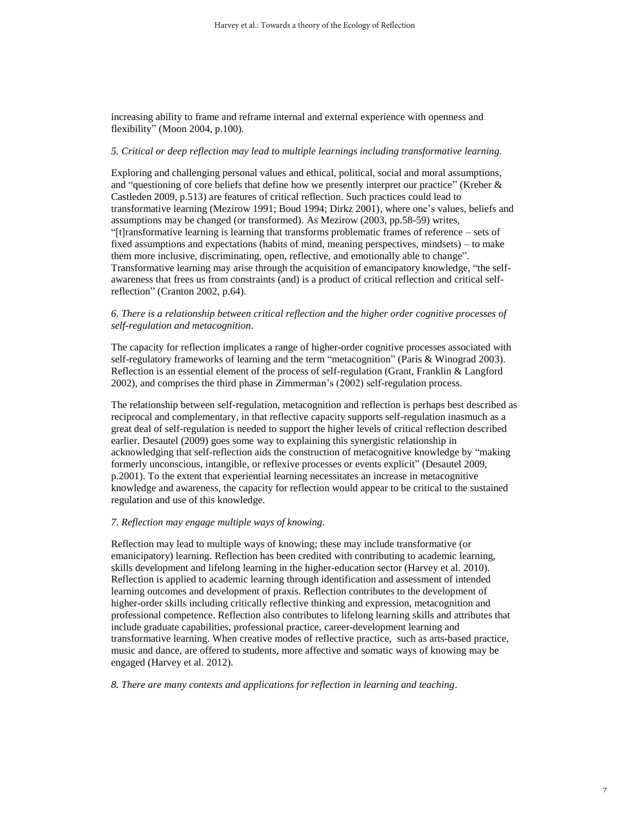increasing ability to frame and reframe internal and external experience with openness and flexibility" (Moon 2004, p.100).

#### *5. Critical or deep reflection may lead to multiple learnings including transformative learning.*

Exploring and challenging personal values and ethical, political, social and moral assumptions, and "questioning of core beliefs that define how we presently interpret our practice" (Kreber & Castleden 2009, p.513) are features of critical reflection. Such practices could lead to transformative learning (Mezirow 1991; Boud 1994; Dirkz 2001), where one's values, beliefs and assumptions may be changed (or transformed). As Mezirow (2003, pp.58-59) writes, "[t]ransformative learning is learning that transforms problematic frames of reference – sets of fixed assumptions and expectations (habits of mind, meaning perspectives, mindsets) – to make them more inclusive, discriminating, open, reflective, and emotionally able to change". Transformative learning may arise through the acquisition of emancipatory knowledge, "the selfawareness that frees us from constraints (and) is a product of critical reflection and critical selfreflection" (Cranton 2002, p.64).

#### *6. There is a relationship between critical reflection and the higher order cognitive processes of self-regulation and metacognition.*

The capacity for reflection implicates a range of higher-order cognitive processes associated with self-regulatory frameworks of learning and the term "metacognition" (Paris & Winograd 2003). Reflection is an essential element of the process of self-regulation (Grant, Franklin & Langford 2002), and comprises the third phase in Zimmerman's (2002) self-regulation process.

The relationship between self-regulation, metacognition and reflection is perhaps best described as reciprocal and complementary, in that reflective capacity supports self-regulation inasmuch as a great deal of self-regulation is needed to support the higher levels of critical reflection described earlier. Desautel (2009) goes some way to explaining this synergistic relationship in acknowledging that self-reflection aids the construction of metacognitive knowledge by "making formerly unconscious, intangible, or reflexive processes or events explicit" (Desautel 2009, p.2001). To the extent that experiential learning necessitates an increase in metacognitive knowledge and awareness, the capacity for reflection would appear to be critical to the sustained regulation and use of this knowledge.

#### *7. Reflection may engage multiple ways of knowing.*

Reflection may lead to multiple ways of knowing; these may include transformative (or emanicipatory) learning. Reflection has been credited with contributing to academic learning, skills development and lifelong learning in the higher-education sector (Harvey et al. 2010). Reflection is applied to academic learning through identification and assessment of intended learning outcomes and development of praxis. Reflection contributes to the development of higher-order skills including critically reflective thinking and expression, metacognition and professional competence. Reflection also contributes to lifelong learning skills and attributes that include graduate capabilities, professional practice, career-development learning and transformative learning. When creative modes of reflective practice, such as arts-based practice, music and dance, are offered to students, more affective and somatic ways of knowing may be engaged (Harvey et al. 2012).

*8. There are many contexts and applications for reflection in learning and teaching.*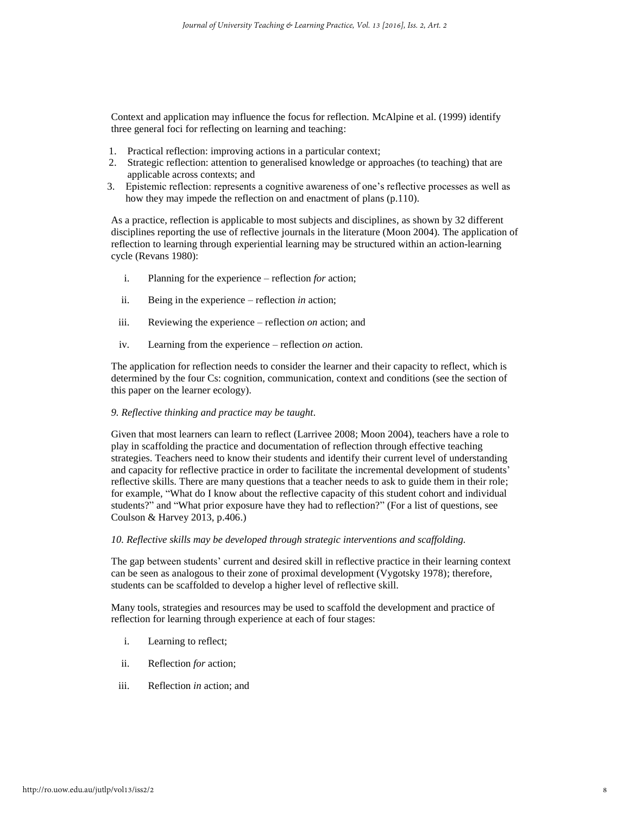Context and application may influence the focus for reflection. McAlpine et al. (1999) identify three general foci for reflecting on learning and teaching:

- 1. Practical reflection: improving actions in a particular context;
- 2. Strategic reflection: attention to generalised knowledge or approaches (to teaching) that are applicable across contexts; and
- 3. Epistemic reflection: represents a cognitive awareness of one's reflective processes as well as how they may impede the reflection on and enactment of plans (p.110).

As a practice, reflection is applicable to most subjects and disciplines, as shown by 32 different disciplines reporting the use of reflective journals in the literature (Moon 2004). The application of reflection to learning through experiential learning may be structured within an action-learning cycle (Revans 1980):

- i. Planning for the experience reflection *for* action;
- ii. Being in the experience reflection *in* action;
- iii. Reviewing the experience reflection *on* action; and
- iv. Learning from the experience reflection *on* action.

The application for reflection needs to consider the learner and their capacity to reflect, which is determined by the four Cs: cognition, communication, context and conditions (see the section of this paper on the learner ecology).

#### *9. Reflective thinking and practice may be taught.*

Given that most learners can learn to reflect (Larrivee 2008; Moon 2004), teachers have a role to play in scaffolding the practice and documentation of reflection through effective teaching strategies. Teachers need to know their students and identify their current level of understanding and capacity for reflective practice in order to facilitate the incremental development of students' reflective skills. There are many questions that a teacher needs to ask to guide them in their role; for example, "What do I know about the reflective capacity of this student cohort and individual students?" and "What prior exposure have they had to reflection?" (For a list of questions, see Coulson & Harvey 2013, p.406.)

#### *10. Reflective skills may be developed through strategic interventions and scaffolding.*

The gap between students' current and desired skill in reflective practice in their learning context can be seen as analogous to their zone of proximal development (Vygotsky 1978); therefore, students can be scaffolded to develop a higher level of reflective skill.

Many tools, strategies and resources may be used to scaffold the development and practice of reflection for learning through experience at each of four stages:

- i. Learning to reflect;
- ii. Reflection *for* action;
- iii. Reflection *in* action; and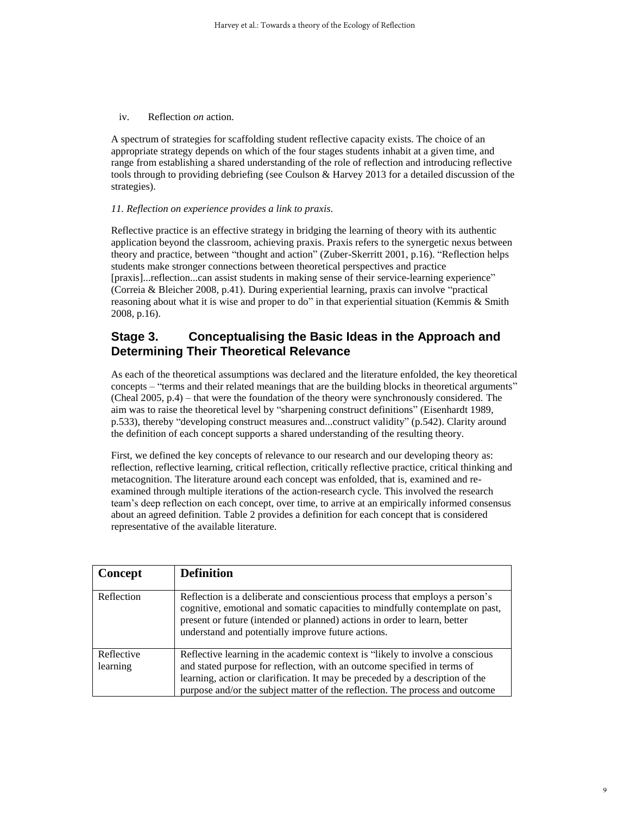iv. Reflection *on* action.

A spectrum of strategies for scaffolding student reflective capacity exists. The choice of an appropriate strategy depends on which of the four stages students inhabit at a given time, and range from establishing a shared understanding of the role of reflection and introducing reflective tools through to providing debriefing (see Coulson & Harvey 2013 for a detailed discussion of the strategies).

#### *11. Reflection on experience provides a link to praxis.*

Reflective practice is an effective strategy in bridging the learning of theory with its authentic application beyond the classroom, achieving praxis. Praxis refers to the synergetic nexus between theory and practice, between "thought and action" (Zuber-Skerritt 2001, p.16). "Reflection helps students make stronger connections between theoretical perspectives and practice [praxis]...reflection...can assist students in making sense of their service-learning experience" (Correia & Bleicher 2008, p.41). During experiential learning, praxis can involve "practical reasoning about what it is wise and proper to do" in that experiential situation (Kemmis & Smith 2008, p.16).

## **Stage 3. Conceptualising the Basic Ideas in the Approach and Determining Their Theoretical Relevance**

As each of the theoretical assumptions was declared and the literature enfolded, the key theoretical concepts – "terms and their related meanings that are the building blocks in theoretical arguments" (Cheal 2005, p.4) – that were the foundation of the theory were synchronously considered. The aim was to raise the theoretical level by "sharpening construct definitions" (Eisenhardt 1989, p.533), thereby "developing construct measures and...construct validity" (p.542). Clarity around the definition of each concept supports a shared understanding of the resulting theory.

First, we defined the key concepts of relevance to our research and our developing theory as: reflection, reflective learning, critical reflection, critically reflective practice, critical thinking and metacognition. The literature around each concept was enfolded, that is, examined and reexamined through multiple iterations of the action-research cycle. This involved the research team's deep reflection on each concept, over time, to arrive at an empirically informed consensus about an agreed definition. Table 2 provides a definition for each concept that is considered representative of the available literature.

| Concept    | <b>Definition</b>                                                                                                                                                                                                                                                                                |
|------------|--------------------------------------------------------------------------------------------------------------------------------------------------------------------------------------------------------------------------------------------------------------------------------------------------|
| Reflection | Reflection is a deliberate and conscientious process that employs a person's<br>cognitive, emotional and somatic capacities to mindfully contemplate on past,<br>present or future (intended or planned) actions in order to learn, better<br>understand and potentially improve future actions. |
| Reflective | Reflective learning in the academic context is "likely to involve a conscious"                                                                                                                                                                                                                   |
| learning   | and stated purpose for reflection, with an outcome specified in terms of                                                                                                                                                                                                                         |
|            | learning, action or clarification. It may be preceded by a description of the                                                                                                                                                                                                                    |
|            | purpose and/or the subject matter of the reflection. The process and outcome                                                                                                                                                                                                                     |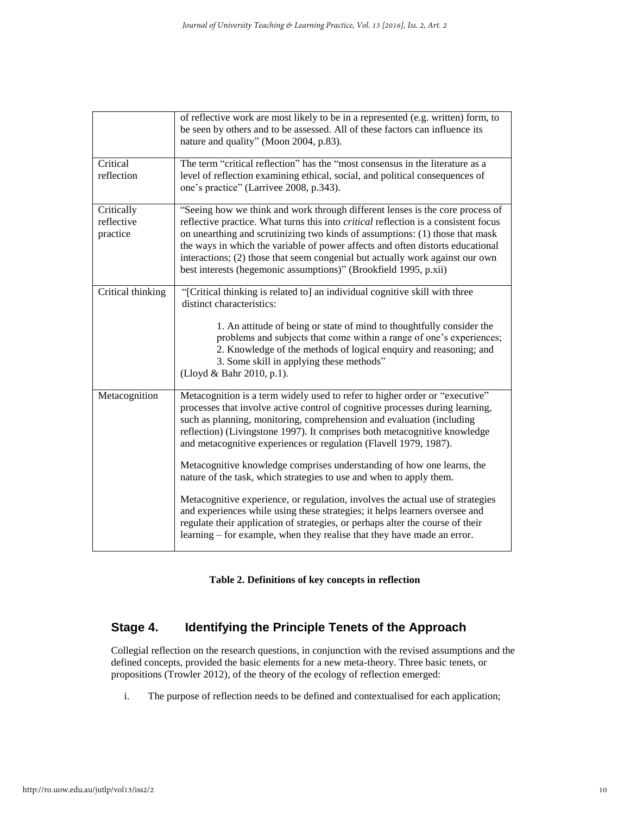|                   | of reflective work are most likely to be in a represented (e.g. written) form, to          |
|-------------------|--------------------------------------------------------------------------------------------|
|                   | be seen by others and to be assessed. All of these factors can influence its               |
|                   | nature and quality" (Moon 2004, p.83).                                                     |
|                   |                                                                                            |
| Critical          | The term "critical reflection" has the "most consensus in the literature as a              |
| reflection        | level of reflection examining ethical, social, and political consequences of               |
|                   | one's practice" (Larrivee 2008, p.343).                                                    |
| Critically        | "Seeing how we think and work through different lenses is the core process of              |
| reflective        | reflective practice. What turns this into <i>critical</i> reflection is a consistent focus |
| practice          | on unearthing and scrutinizing two kinds of assumptions: (1) those that mask               |
|                   | the ways in which the variable of power affects and often distorts educational             |
|                   | interactions; (2) those that seem congenial but actually work against our own              |
|                   | best interests (hegemonic assumptions)" (Brookfield 1995, p.xii)                           |
| Critical thinking | "[Critical thinking is related to] an individual cognitive skill with three                |
|                   | distinct characteristics:                                                                  |
|                   |                                                                                            |
|                   | 1. An attitude of being or state of mind to thoughtfully consider the                      |
|                   | problems and subjects that come within a range of one's experiences;                       |
|                   | 2. Knowledge of the methods of logical enquiry and reasoning; and                          |
|                   | 3. Some skill in applying these methods"                                                   |
|                   | (Lloyd & Bahr 2010, p.1).                                                                  |
| Metacognition     | Metacognition is a term widely used to refer to higher order or "executive"                |
|                   | processes that involve active control of cognitive processes during learning,              |
|                   | such as planning, monitoring, comprehension and evaluation (including                      |
|                   | reflection) (Livingstone 1997). It comprises both metacognitive knowledge                  |
|                   | and metacognitive experiences or regulation (Flavell 1979, 1987).                          |
|                   | Metacognitive knowledge comprises understanding of how one learns, the                     |
|                   | nature of the task, which strategies to use and when to apply them.                        |
|                   | Metacognitive experience, or regulation, involves the actual use of strategies             |
|                   | and experiences while using these strategies; it helps learners oversee and                |
|                   | regulate their application of strategies, or perhaps alter the course of their             |
|                   | learning – for example, when they realise that they have made an error.                    |
|                   |                                                                                            |

**Table 2. Definitions of key concepts in reflection**

## **Stage 4. Identifying the Principle Tenets of the Approach**

Collegial reflection on the research questions, in conjunction with the revised assumptions and the defined concepts, provided the basic elements for a new meta-theory. Three basic tenets, or propositions (Trowler 2012), of the theory of the ecology of reflection emerged:

i. The purpose of reflection needs to be defined and contextualised for each application;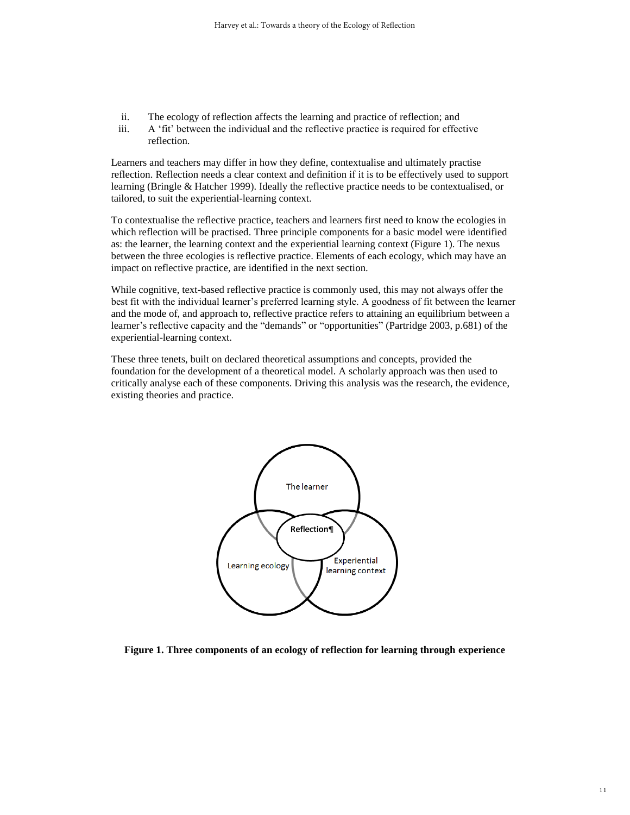- ii. The ecology of reflection affects the learning and practice of reflection; and
- iii. A 'fit' between the individual and the reflective practice is required for effective reflection.

Learners and teachers may differ in how they define, contextualise and ultimately practise reflection. Reflection needs a clear context and definition if it is to be effectively used to support learning (Bringle & Hatcher 1999). Ideally the reflective practice needs to be contextualised, or tailored, to suit the experiential-learning context.

To contextualise the reflective practice, teachers and learners first need to know the ecologies in which reflection will be practised. Three principle components for a basic model were identified as: the learner, the learning context and the experiential learning context (Figure 1). The nexus between the three ecologies is reflective practice. Elements of each ecology, which may have an impact on reflective practice, are identified in the next section.

While cognitive, text-based reflective practice is commonly used, this may not always offer the best fit with the individual learner's preferred learning style. A goodness of fit between the learner and the mode of, and approach to, reflective practice refers to attaining an equilibrium between a learner's reflective capacity and the "demands" or "opportunities" (Partridge 2003, p.681) of the experiential-learning context.

These three tenets, built on declared theoretical assumptions and concepts, provided the foundation for the development of a theoretical model. A scholarly approach was then used to critically analyse each of these components. Driving this analysis was the research, the evidence, existing theories and practice.



**Figure 1. Three components of an ecology of reflection for learning through experience**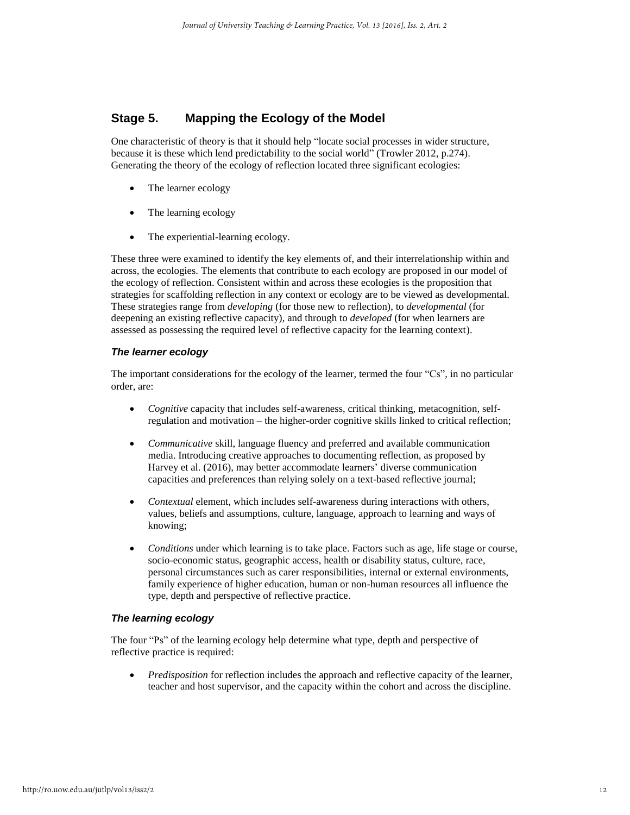## **Stage 5. Mapping the Ecology of the Model**

One characteristic of theory is that it should help "locate social processes in wider structure, because it is these which lend predictability to the social world" (Trowler 2012, p.274). Generating the theory of the ecology of reflection located three significant ecologies:

- The learner ecology
- The learning ecology
- The experiential-learning ecology.

These three were examined to identify the key elements of, and their interrelationship within and across, the ecologies. The elements that contribute to each ecology are proposed in our model of the ecology of reflection. Consistent within and across these ecologies is the proposition that strategies for scaffolding reflection in any context or ecology are to be viewed as developmental. These strategies range from *developing* (for those new to reflection), to *developmental* (for deepening an existing reflective capacity), and through to *developed* (for when learners are assessed as possessing the required level of reflective capacity for the learning context).

#### *The learner ecology*

The important considerations for the ecology of the learner, termed the four "Cs", in no particular order, are:

- *Cognitive* capacity that includes self-awareness, critical thinking, metacognition, selfregulation and motivation – the higher-order cognitive skills linked to critical reflection;
- *Communicative* skill, language fluency and preferred and available communication media. Introducing creative approaches to documenting reflection, as proposed by Harvey et al. (2016), may better accommodate learners' diverse communication capacities and preferences than relying solely on a text-based reflective journal;
- *Contextual* element, which includes self-awareness during interactions with others, values, beliefs and assumptions, culture, language, approach to learning and ways of knowing;
- *Conditions* under which learning is to take place. Factors such as age, life stage or course, socio-economic status, geographic access, health or disability status, culture, race, personal circumstances such as carer responsibilities, internal or external environments, family experience of higher education, human or non-human resources all influence the type, depth and perspective of reflective practice.

#### *The learning ecology*

The four "Ps" of the learning ecology help determine what type, depth and perspective of reflective practice is required:

 *Predisposition* for reflection includes the approach and reflective capacity of the learner, teacher and host supervisor, and the capacity within the cohort and across the discipline.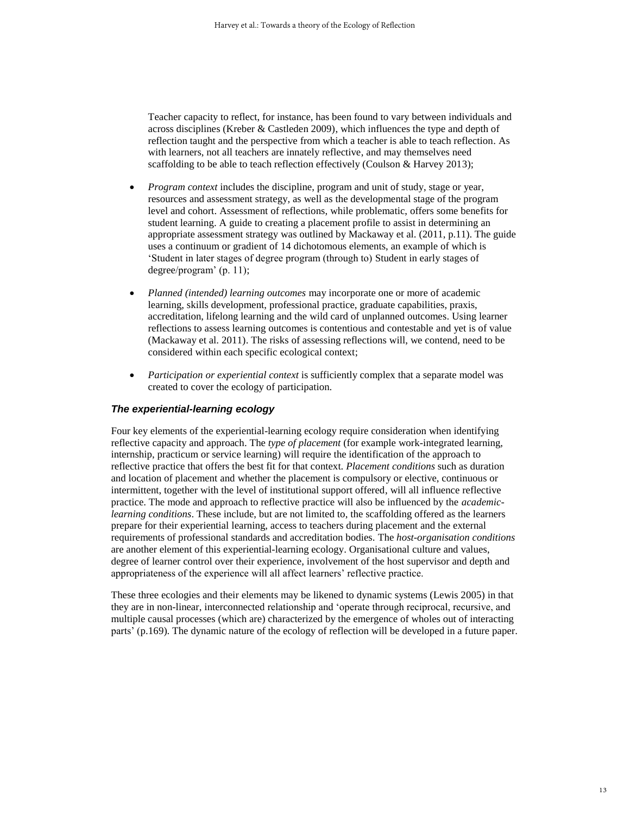Teacher capacity to reflect, for instance, has been found to vary between individuals and across disciplines (Kreber & Castleden 2009), which influences the type and depth of reflection taught and the perspective from which a teacher is able to teach reflection. As with learners, not all teachers are innately reflective, and may themselves need scaffolding to be able to teach reflection effectively (Coulson & Harvey 2013);

- *Program context* includes the discipline, program and unit of study, stage or year, resources and assessment strategy, as well as the developmental stage of the program level and cohort. Assessment of reflections, while problematic, offers some benefits for student learning. A guide to creating a placement profile to assist in determining an appropriate assessment strategy was outlined by Mackaway et al. (2011, p.11). The guide uses a continuum or gradient of 14 dichotomous elements, an example of which is 'Student in later stages of degree program (through to) Student in early stages of degree/program' (p. 11);
- *Planned (intended) learning outcomes* may incorporate one or more of academic learning, skills development, professional practice, graduate capabilities, praxis, accreditation, lifelong learning and the wild card of unplanned outcomes. Using learner reflections to assess learning outcomes is contentious and contestable and yet is of value (Mackaway et al. 2011). The risks of assessing reflections will, we contend, need to be considered within each specific ecological context;
- *Participation or experiential context* is sufficiently complex that a separate model was created to cover the ecology of participation.

#### *The experiential-learning ecology*

Four key elements of the experiential-learning ecology require consideration when identifying reflective capacity and approach. The *type of placement* (for example work-integrated learning, internship, practicum or service learning) will require the identification of the approach to reflective practice that offers the best fit for that context. *Placement conditions* such as duration and location of placement and whether the placement is compulsory or elective, continuous or intermittent, together with the level of institutional support offered, will all influence reflective practice. The mode and approach to reflective practice will also be influenced by the *academiclearning conditions*. These include, but are not limited to, the scaffolding offered as the learners prepare for their experiential learning, access to teachers during placement and the external requirements of professional standards and accreditation bodies. The *host-organisation conditions* are another element of this experiential-learning ecology. Organisational culture and values, degree of learner control over their experience, involvement of the host supervisor and depth and appropriateness of the experience will all affect learners' reflective practice.

These three ecologies and their elements may be likened to dynamic systems (Lewis 2005) in that they are in non-linear, interconnected relationship and 'operate through reciprocal, recursive, and multiple causal processes (which are) characterized by the emergence of wholes out of interacting parts' (p.169). The dynamic nature of the ecology of reflection will be developed in a future paper.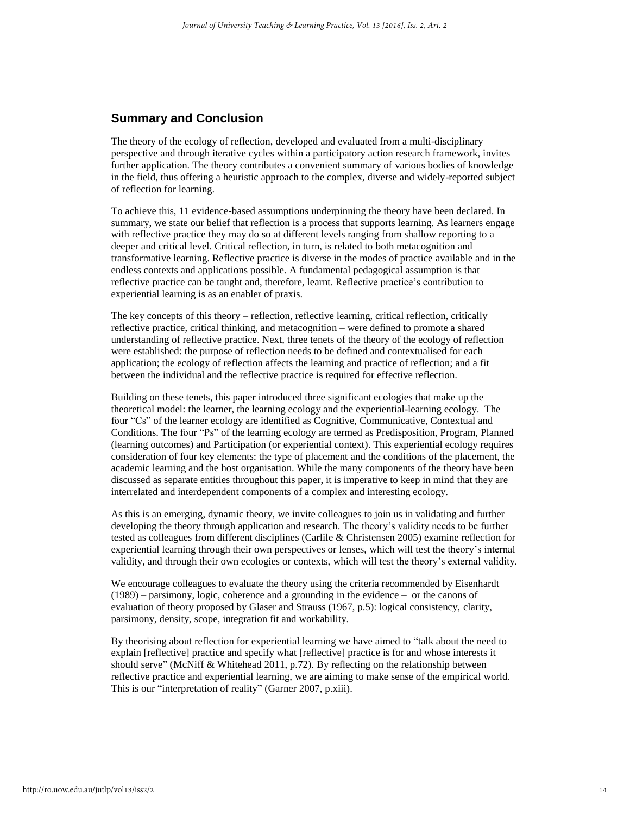### **Summary and Conclusion**

The theory of the ecology of reflection, developed and evaluated from a multi-disciplinary perspective and through iterative cycles within a participatory action research framework, invites further application. The theory contributes a convenient summary of various bodies of knowledge in the field, thus offering a heuristic approach to the complex, diverse and widely-reported subject of reflection for learning.

To achieve this, 11 evidence-based assumptions underpinning the theory have been declared. In summary, we state our belief that reflection is a process that supports learning. As learners engage with reflective practice they may do so at different levels ranging from shallow reporting to a deeper and critical level. Critical reflection, in turn, is related to both metacognition and transformative learning. Reflective practice is diverse in the modes of practice available and in the endless contexts and applications possible. A fundamental pedagogical assumption is that reflective practice can be taught and, therefore, learnt. Reflective practice's contribution to experiential learning is as an enabler of praxis.

The key concepts of this theory – reflection, reflective learning, critical reflection, critically reflective practice, critical thinking, and metacognition – were defined to promote a shared understanding of reflective practice. Next, three tenets of the theory of the ecology of reflection were established: the purpose of reflection needs to be defined and contextualised for each application; the ecology of reflection affects the learning and practice of reflection; and a fit between the individual and the reflective practice is required for effective reflection.

Building on these tenets, this paper introduced three significant ecologies that make up the theoretical model: the learner, the learning ecology and the experiential-learning ecology. The four "Cs" of the learner ecology are identified as Cognitive, Communicative, Contextual and Conditions. The four "Ps" of the learning ecology are termed as Predisposition, Program, Planned (learning outcomes) and Participation (or experiential context). This experiential ecology requires consideration of four key elements: the type of placement and the conditions of the placement, the academic learning and the host organisation. While the many components of the theory have been discussed as separate entities throughout this paper, it is imperative to keep in mind that they are interrelated and interdependent components of a complex and interesting ecology.

As this is an emerging, dynamic theory, we invite colleagues to join us in validating and further developing the theory through application and research. The theory's validity needs to be further tested as colleagues from different disciplines (Carlile & Christensen 2005) examine reflection for experiential learning through their own perspectives or lenses, which will test the theory's internal validity, and through their own ecologies or contexts, which will test the theory's external validity.

We encourage colleagues to evaluate the theory using the criteria recommended by Eisenhardt (1989) – parsimony, logic, coherence and a grounding in the evidence – or the canons of evaluation of theory proposed by Glaser and Strauss (1967, p.5): logical consistency, clarity, parsimony, density, scope, integration fit and workability.

By theorising about reflection for experiential learning we have aimed to "talk about the need to explain [reflective] practice and specify what [reflective] practice is for and whose interests it should serve" (McNiff & Whitehead 2011, p.72). By reflecting on the relationship between reflective practice and experiential learning, we are aiming to make sense of the empirical world. This is our "interpretation of reality" (Garner 2007, p.xiii).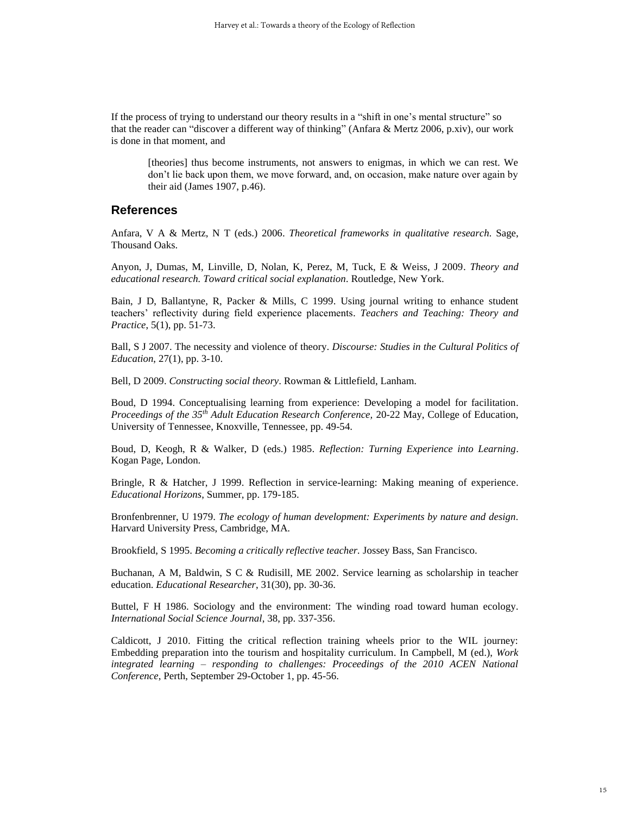If the process of trying to understand our theory results in a "shift in one's mental structure" so that the reader can "discover a different way of thinking" (Anfara & Mertz 2006, p.xiv), our work is done in that moment, and

[theories] thus become instruments, not answers to enigmas, in which we can rest. We don't lie back upon them, we move forward, and, on occasion, make nature over again by their aid (James 1907, p.46).

### **References**

Anfara, V A & Mertz, N T (eds.) 2006. *Theoretical frameworks in qualitative research.* Sage, Thousand Oaks.

Anyon, J, Dumas, M, Linville, D, Nolan, K, Perez, M, Tuck, E & Weiss, J 2009. *Theory and educational research. Toward critical social explanation.* Routledge, New York.

Bain, J D, Ballantyne, R, Packer & Mills, C 1999. Using journal writing to enhance student teachers' reflectivity during field experience placements. *Teachers and Teaching: Theory and Practice*, 5(1), pp. 51-73.

Ball, S J 2007. The necessity and violence of theory. *Discourse: Studies in the Cultural Politics of Education*, 27(1), pp. 3-10.

Bell, D 2009. *Constructing social theory*. Rowman & Littlefield, Lanham.

Boud, D 1994. Conceptualising learning from experience: Developing a model for facilitation. *Proceedings of the 35th Adult Education Research Conference,* 20-22 May, College of Education, University of Tennessee, Knoxville, Tennessee, pp. 49-54.

Boud, D, Keogh, R & Walker, D (eds.) 1985. *Reflection: Turning Experience into Learning*. Kogan Page, London.

Bringle, R & Hatcher, J 1999. Reflection in service-learning: Making meaning of experience. *Educational Horizons*, Summer, pp. 179-185.

Bronfenbrenner, U 1979. *The ecology of human development: Experiments by nature and design.* Harvard University Press, Cambridge, MA.

Brookfield, S 1995. *Becoming a critically reflective teacher.* Jossey Bass, San Francisco.

Buchanan, A M, Baldwin, S C & Rudisill, ME 2002. Service learning as scholarship in teacher education. *Educational Researcher*, 31(30), pp. 30-36.

Buttel, F H 1986. Sociology and the environment: The winding road toward human ecology. *International Social Science Journal*, 38, pp. 337-356.

Caldicott, J 2010. Fitting the critical reflection training wheels prior to the WIL journey: Embedding preparation into the tourism and hospitality curriculum. In Campbell, M (ed.), *Work integrated learning – responding to challenges: Proceedings of the 2010 ACEN National Conference*, Perth, September 29-October 1, pp. 45-56.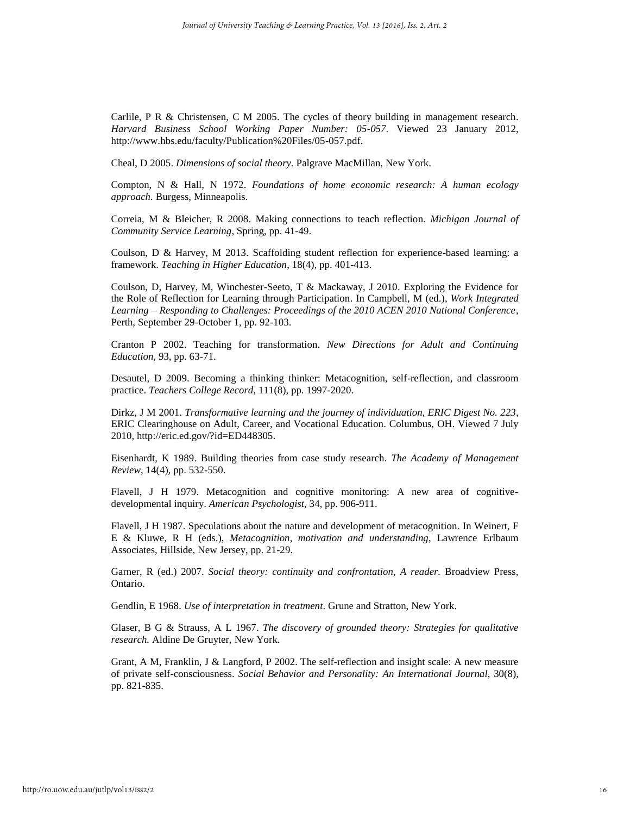Carlile, P R & Christensen, C M 2005. The cycles of theory building in management research. *Harvard Business School Working Paper Number: 05-057*. Viewed 23 January 2012, http://www.hbs.edu/faculty/Publication%20Files/05-057.pdf.

Cheal, D 2005. *Dimensions of social theory.* Palgrave MacMillan, New York.

Compton, N & Hall, N 1972. *Foundations of home economic research: A human ecology approach.* Burgess, Minneapolis.

Correia, M & Bleicher, R 2008. Making connections to teach reflection. *Michigan Journal of Community Service Learning*, Spring, pp. 41-49.

Coulson, D & Harvey, M 2013. Scaffolding student reflection for experience-based learning: a framework. *Teaching in Higher Education*, 18(4), pp. 401-413.

Coulson, D, Harvey, M, Winchester-Seeto, T & Mackaway, J 2010. Exploring the Evidence for the Role of Reflection for Learning through Participation. In Campbell, M (ed.), *Work Integrated Learning – Responding to Challenges: Proceedings of the 2010 ACEN 2010 National Conference*, Perth, September 29-October 1, pp. 92-103.

Cranton P 2002. Teaching for transformation. *New Directions for Adult and Continuing Education,* 93, pp. 63-71.

Desautel, D 2009. Becoming a thinking thinker: Metacognition, self-reflection, and classroom practice. *Teachers College Record*, 111(8), pp. 1997-2020.

Dirkz, J M 2001. *Transformative learning and the journey of individuation, ERIC Digest No. 223*, ERIC Clearinghouse on Adult, Career, and Vocational Education. Columbus, OH. Viewed 7 July 2010, http://eric.ed.gov/?id=ED448305.

Eisenhardt, K 1989. Building theories from case study research. *The Academy of Management Review*, 14(4), pp. 532-550.

Flavell, J H 1979. Metacognition and cognitive monitoring: A new area of cognitivedevelopmental inquiry. *American Psychologist*, 34, pp. 906-911.

Flavell, J H 1987. Speculations about the nature and development of metacognition. In Weinert, F E & Kluwe, R H (eds.), *Metacognition, motivation and understanding,* Lawrence Erlbaum Associates, Hillside, New Jersey, pp. 21-29.

Garner, R (ed.) 2007. *Social theory: continuity and confrontation, A reader.* Broadview Press, Ontario.

Gendlin, E 1968. *Use of interpretation in treatment*. Grune and Stratton, New York.

Glaser, B G & Strauss, A L 1967. *The discovery of grounded theory: Strategies for qualitative research.* Aldine De Gruyter, New York.

Grant, A M, Franklin, J & Langford, P 2002. The self-reflection and insight scale: A new measure of private self-consciousness. *Social Behavior and Personality: An International Journal*, 30(8), pp. 821-835.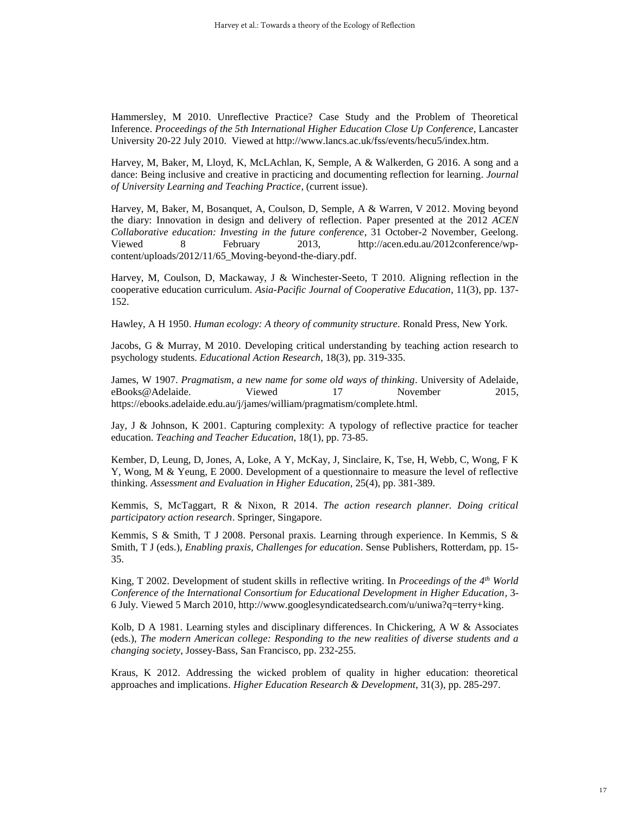Hammersley, M 2010. Unreflective Practice? Case Study and the Problem of Theoretical Inference. *Proceedings of the 5th International Higher Education Close Up Conference*, Lancaster University 20-22 July 2010. Viewed at http://www.lancs.ac.uk/fss/events/hecu5/index.htm.

Harvey, M, Baker, M, Lloyd, K, McLAchlan, K, Semple, A & Walkerden, G 2016. A song and a dance: Being inclusive and creative in practicing and documenting reflection for learning. *Journal of University Learning and Teaching Practice*, (current issue).

Harvey, M, Baker, M, Bosanquet, A, Coulson, D, Semple, A & Warren, V 2012. Moving beyond the diary: Innovation in design and delivery of reflection. Paper presented at the 2012 *ACEN Collaborative education: Investing in the future conference*, 31 October-2 November, Geelong. Viewed 8 February 2013, [http://acen.edu.au/2012conference/wp](http://acen.edu.au/2012conference/wp-content/uploads/2012/11/65_Moving-beyond-the-diary.pdf)[content/uploads/2012/11/65\\_Moving-beyond-the-diary.pdf.](http://acen.edu.au/2012conference/wp-content/uploads/2012/11/65_Moving-beyond-the-diary.pdf)

Harvey, M, Coulson, D, Mackaway, J & Winchester-Seeto, T 2010. Aligning reflection in the cooperative education curriculum. *Asia-Pacific Journal of Cooperative Education*, 11(3), pp. 137- 152.

Hawley, A H 1950. *Human ecology: A theory of community structure.* Ronald Press, New York.

Jacobs, G & Murray, M 2010. Developing critical understanding by teaching action research to psychology students. *Educational Action Research*, 18(3), pp. 319-335.

James, W 1907. *Pragmatism, a new name for some old ways of thinking*. University of Adelaide, [eBooks@Adelaide.](http://ebooks.adelaide.edu.au/) Viewed 17 November 2015, https://ebooks.adelaide.edu.au/j/james/william/pragmatism/complete.html.

Jay, J & Johnson, K 2001. Capturing complexity: A typology of reflective practice for teacher education. *Teaching and Teacher Education*, 18(1), pp. 73-85.

Kember, D, Leung, D, Jones, A, Loke, A Y, McKay, J, Sinclaire, K, Tse, H, Webb, C, Wong, F K Y, Wong, M & Yeung, E 2000. Development of a questionnaire to measure the level of reflective thinking. *Assessment and Evaluation in Higher Education,* 25(4), pp. 381-389.

Kemmis, S, McTaggart, R & Nixon, R 2014. *The action research planner. Doing critical participatory action research*. Springer, Singapore.

Kemmis, S & Smith, T J 2008. Personal praxis. Learning through experience. In Kemmis, S & Smith, T J (eds.), *Enabling praxis, Challenges for education*. Sense Publishers, Rotterdam, pp. 15- 35.

King, T 2002. Development of student skills in reflective writing. In *Proceedings of the 4th World Conference of the International Consortium for Educational Development in Higher Education*, 3- 6 July. Viewed 5 March 2010, http://www.googlesyndicatedsearch.com/u/uniwa?q=terry+king.

Kolb, D A 1981. Learning styles and disciplinary differences. In Chickering, A W & Associates (eds.), *The modern American college: Responding to the new realities of diverse students and a changing society*, Jossey-Bass, San Francisco, pp. 232-255.

Kraus, K 2012. Addressing the wicked problem of quality in higher education: theoretical approaches and implications. *Higher Education Research & Development*, 31(3), pp. 285-297.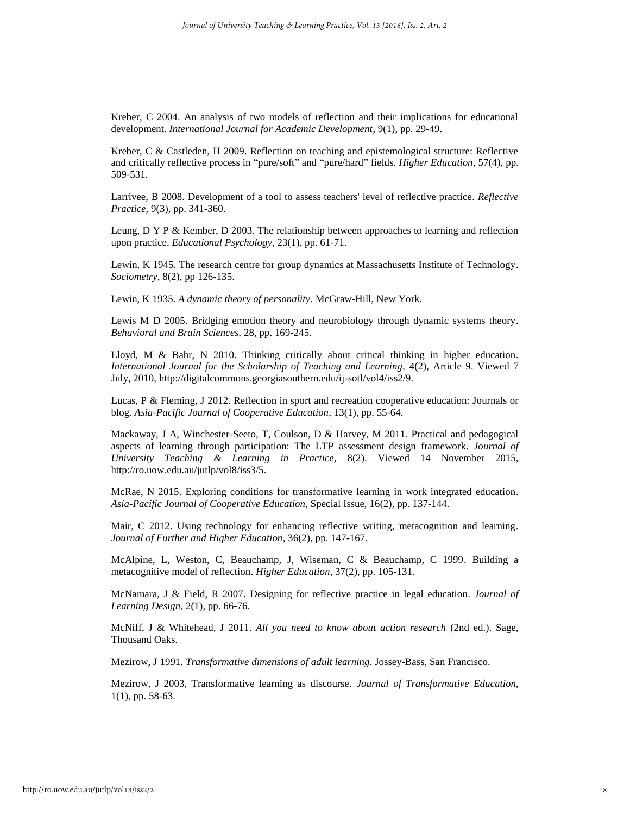Kreber, C 2004. An analysis of two models of reflection and their implications for educational development. *International Journal for Academic Development*, 9(1), pp. 29-49.

Kreber, C & Castleden, H 2009. Reflection on teaching and epistemological structure: Reflective and critically reflective process in "pure/soft" and "pure/hard" fields. *Higher Education*, 57(4), pp. 509-531.

Larrivee, B 2008. Development of a tool to assess teachers' level of reflective practice. *Reflective Practice,* 9(3), pp. 341-360.

Leung, D Y P & Kember, D 2003. The relationship between approaches to learning and reflection upon practice. *Educational Psychology*, 23(1), pp. 61-71.

Lewin, K 1945. The research centre for group dynamics at Massachusetts Institute of Technology. *Sociometry*, 8(2), pp 126-135.

Lewin, K 1935. *A dynamic theory of personality.* McGraw-Hill, New York.

Lewis M D 2005. Bridging emotion theory and neurobiology through dynamic systems theory. *Behavioral and Brain Sciences,* 28, pp. 169-245.

Lloyd, M & Bahr, N 2010. Thinking critically about critical thinking in higher education. *International Journal for the Scholarship of Teaching and Learning, 4(2), Article 9. Viewed 7* July, 2010, http://digitalcommons.georgiasouthern.edu/ij-sotl/vol4/iss2/9.

Lucas, P & Fleming, J 2012. Reflection in sport and recreation cooperative education: Journals or blog. *Asia-Pacific Journal of Cooperative Education*, 13(1), pp. 55-64.

Mackaway, J A, Winchester-Seeto, T, Coulson, D & Harvey, M 2011. Practical and pedagogical aspects of learning through participation: The LTP assessment design framework. *Journal of University Teaching & Learning in Practice,* 8(2). Viewed 14 November 2015, http://ro.uow.edu.au/jutlp/vol8/iss3/5.

McRae, N 2015. Exploring conditions for transformative learning in work integrated education. *Asia-Pacific Journal of Cooperative Education*, Special Issue, 16(2), pp. 137-144.

Mair, C 2012. Using technology for enhancing reflective writing, metacognition and learning. *Journal of Further and Higher Education*, 36(2), pp. 147-167.

McAlpine, L, Weston, C, Beauchamp, J, Wiseman, C & Beauchamp, C 1999. Building a metacognitive model of reflection. *Higher Education*, 37(2), pp. 105-131.

McNamara, J & Field, R 2007. Designing for reflective practice in legal education. *Journal of Learning Design*, 2(1), pp. 66-76.

McNiff, J & Whitehead, J 2011. *All you need to know about action research* (2nd ed.). Sage, Thousand Oaks.

Mezirow, J 1991. *Transformative dimensions of adult learning*. Jossey-Bass, San Francisco.

Mezirow, J 2003, Transformative learning as discourse. *Journal of Transformative Education,* 1(1), pp. 58-63.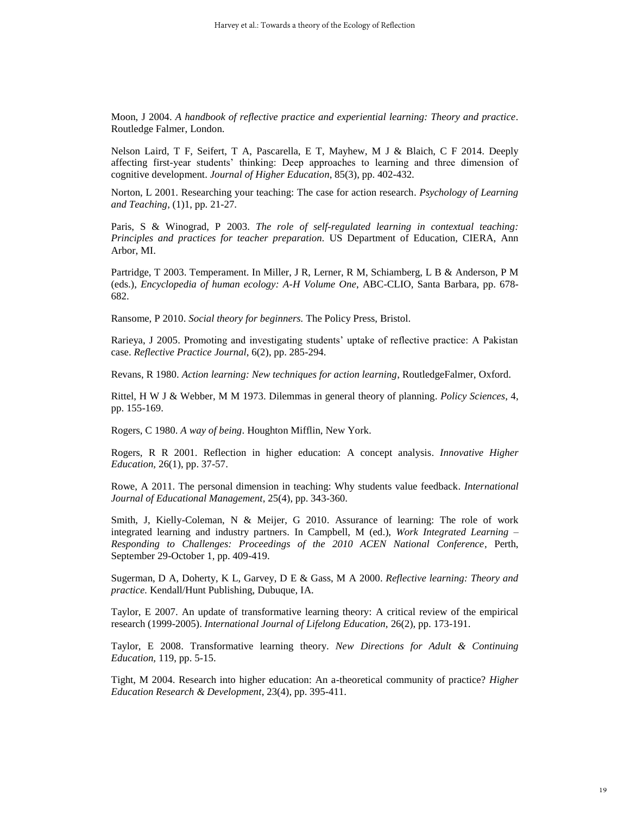Moon, J 2004. *A handbook of reflective practice and experiential learning: Theory and practice.* Routledge Falmer, London.

Nelson Laird, T F, Seifert, T A, Pascarella, E T, Mayhew, M J & Blaich, C F 2014. Deeply affecting first-year students' thinking: Deep approaches to learning and three dimension of cognitive development. *Journal of Higher Education*, 85(3), pp. 402-432.

Norton, L 2001. Researching your teaching: The case for action research. *Psychology of Learning and Teaching*, (1)1, pp. 21-27.

Paris, S & Winograd, P 2003. *The role of self-regulated learning in contextual teaching: Principles and practices for teacher preparation.* US Department of Education, CIERA, Ann Arbor, MI.

Partridge, T 2003. Temperament. In Miller, J R, Lerner, R M, Schiamberg, L B & Anderson, P M (eds.), *Encyclopedia of human ecology: A-H Volume One*, ABC-CLIO, Santa Barbara, pp. 678- 682.

Ransome, P 2010. *Social theory for beginners.* The Policy Press, Bristol.

Rarieya, J 2005. Promoting and investigating students' uptake of reflective practice: A Pakistan case. *Reflective Practice Journal*, 6(2), pp. 285-294.

Revans, R 1980. *Action learning: New techniques for action learning*, RoutledgeFalmer, Oxford.

Rittel, H W J & Webber, M M 1973. Dilemmas in general theory of planning. *Policy Sciences*, 4, pp. 155-169.

Rogers, C 1980. *A way of being*. Houghton Mifflin, New York.

Rogers, R R 2001. Reflection in higher education: A concept analysis. *Innovative Higher Education,* 26(1), pp. 37-57.

Rowe, A 2011. The personal dimension in teaching: Why students value feedback. *International Journal of Educational Management*, 25(4), pp. 343-360.

Smith, J, Kielly-Coleman, N & Meijer, G 2010. Assurance of learning: The role of work integrated learning and industry partners. In Campbell, M (ed.), *Work Integrated Learning – Responding to Challenges: Proceedings of the 2010 ACEN National Conference*, Perth, September 29-October 1, pp. 409-419.

Sugerman, D A, Doherty, K L, Garvey, D E & Gass, M A 2000. *Reflective learning: Theory and practice.* Kendall/Hunt Publishing, Dubuque, IA.

Taylor, E 2007. An update of transformative learning theory: A critical review of the empirical research (1999-2005). *International Journal of Lifelong Education,* 26(2), pp. 173-191.

Taylor, E 2008. Transformative learning theory. *New Directions for Adult & Continuing Education,* 119, pp. 5-15.

Tight, M 2004. Research into higher education: An a-theoretical community of practice? *Higher Education Research & Development*, 23(4), pp. 395-411.